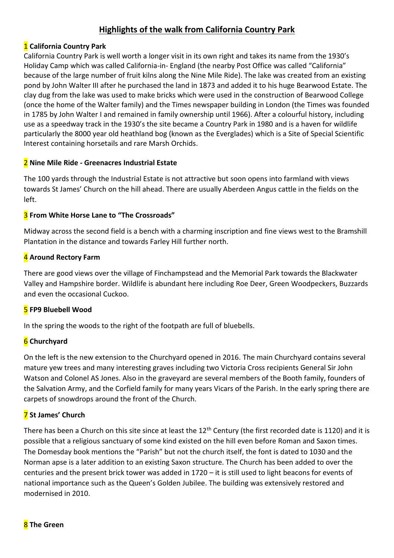# **Highlights of the walk from California Country Park**

#### 1 **California Country Park**

California Country Park is well worth a longer visit in its own right and takes its name from the 1930's Holiday Camp which was called California-in- England (the nearby Post Office was called "California" because of the large number of fruit kilns along the Nine Mile Ride). The lake was created from an existing pond by John Walter III after he purchased the land in 1873 and added it to his huge Bearwood Estate. The clay dug from the lake was used to make bricks which were used in the construction of Bearwood College (once the home of the Walter family) and the Times newspaper building in London (the Times was founded in 1785 by John Walter I and remained in family ownership until 1966). After a colourful history, including use as a speedway track in the 1930's the site became a Country Park in 1980 and is a haven for wildlife particularly the 8000 year old heathland bog (known as the Everglades) which is a Site of Special Scientific Interest containing horsetails and rare Marsh Orchids.

#### 2 **Nine Mile Ride - Greenacres Industrial Estate**

The 100 yards through the Industrial Estate is not attractive but soon opens into farmland with views towards St James' Church on the hill ahead. There are usually Aberdeen Angus cattle in the fields on the left.

#### 3 **From White Horse Lane to "The Crossroads"**

Midway across the second field is a bench with a charming inscription and fine views west to the Bramshill Plantation in the distance and towards Farley Hill further north.

## 4 **Around Rectory Farm**

There are good views over the village of Finchampstead and the Memorial Park towards the Blackwater Valley and Hampshire border. Wildlife is abundant here including Roe Deer, Green Woodpeckers, Buzzards and even the occasional Cuckoo.

## 5 **FP9 Bluebell Wood**

In the spring the woods to the right of the footpath are full of bluebells.

## 6 **Churchyard**

On the left is the new extension to the Churchyard opened in 2016. The main Churchyard contains several mature yew trees and many interesting graves including two Victoria Cross recipients General Sir John Watson and Colonel AS Jones. Also in the graveyard are several members of the Booth family, founders of the Salvation Army, and the Corfield family for many years Vicars of the Parish. In the early spring there are carpets of snowdrops around the front of the Church.

## 7 **St James' Church**

There has been a Church on this site since at least the 12<sup>th</sup> Century (the first recorded date is 1120) and it is possible that a religious sanctuary of some kind existed on the hill even before Roman and Saxon times. The Domesday book mentions the "Parish" but not the church itself, the font is dated to 1030 and the Norman apse is a later addition to an existing Saxon structure. The Church has been added to over the centuries and the present brick tower was added in 1720 – it is still used to light beacons for events of national importance such as the Queen's Golden Jubilee. The building was extensively restored and modernised in 2010.